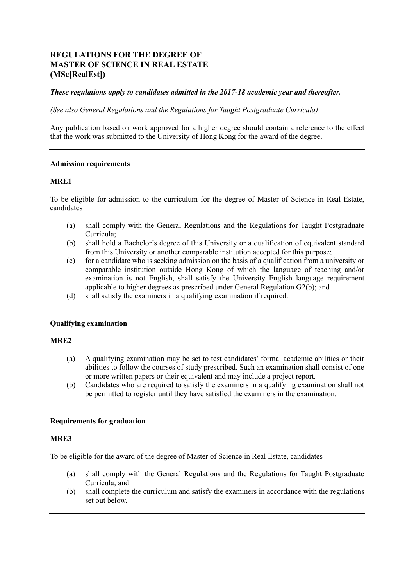# **REGULATIONS FOR THE DEGREE OF MASTER OF SCIENCE IN REAL ESTATE (MSc[RealEst])**

### *These regulations apply to candidates admitted in the 2017-18 academic year and thereafter.*

 *(See also General Regulations and the Regulations for Taught Postgraduate Curricula)* 

 Any publication based on work approved for a higher degree should contain a reference to the effect that the work was submitted to the University of Hong Kong for the award of the degree.

### **Admission requirements**

### **MRE1**

 To be eligible for admission to the curriculum for the degree of Master of Science in Real Estate, candidates

- (a) shall comply with the General Regulations and the Regulations for Taught Postgraduate Curricula;
- (b) shall hold a Bachelor's degree of this University or a qualification of equivalent standard from this University or another comparable institution accepted for this purpose;
- (c) for a candidate who is seeking admission on the basis of a qualification from a university or examination is not English, shall satisfy the University English language requirement applicable to higher degrees as prescribed under General Regulation G2(b); and comparable institution outside Hong Kong of which the language of teaching and/or
- (d) shall satisfy the examiners in a qualifying examination if required.

### **Qualifying examination**

### **MRE2**

- (a) A qualifying examination may be set to test candidates' formal academic abilities or their abilities to follow the courses of study prescribed. Such an examination shall consist of one or more written papers or their equivalent and may include a project report.
- (b) Candidates who are required to satisfy the examiners in a qualifying examination shall not be permitted to register until they have satisfied the examiners in the examination.

### **Requirements for graduation**

### **MRE3**

To be eligible for the award of the degree of Master of Science in Real Estate, candidates

- (a) shall comply with the General Regulations and the Regulations for Taught Postgraduate Curricula; and
- (b) shall complete the curriculum and satisfy the examiners in accordance with the regulations set out below.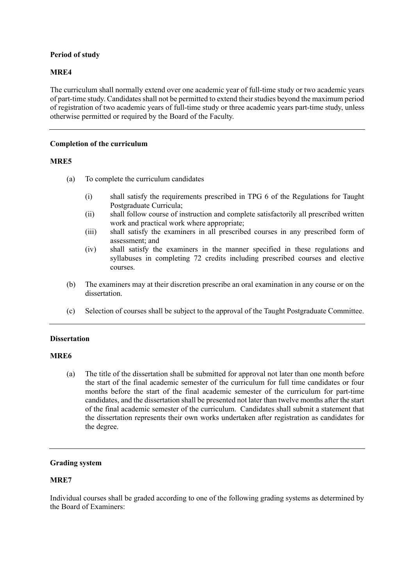## **Period of study**

## **MRE4**

 The curriculum shall normally extend over one academic year of full-time study or two academic years of part-time study. Candidates shall not be permitted to extend their studies beyond the maximum period of registration of two academic years of full-time study or three academic years part-time study, unless otherwise permitted or required by the Board of the Faculty.

### **Completion of the curriculum**

### **MRE5**

- (a) To complete the curriculum candidates
	- (i) shall satisfy the requirements prescribed in TPG 6 of the Regulations for Taught Postgraduate Curricula;
	- (ii) shall follow course of instruction and complete satisfactorily all prescribed written work and practical work where appropriate;
	- (iii) shall satisfy the examiners in all prescribed courses in any prescribed form of assessment; and
	- (iv) shall satisfy the examiners in the manner specified in these regulations and syllabuses in completing 72 credits including prescribed courses and elective courses.
- (b) The examiners may at their discretion prescribe an oral examination in any course or on the dissertation.
- (c) Selection of courses shall be subject to the approval of the Taught Postgraduate Committee.

### **Dissertation**

### **MRE6**

 (a) The title of the dissertation shall be submitted for approval not later than one month before the start of the final academic semester of the curriculum for full time candidates or four months before the start of the final academic semester of the curriculum for part-time candidates, and the dissertation shall be presented not later than twelve months after the start of the final academic semester of the curriculum. Candidates shall submit a statement that the dissertation represents their own works undertaken after registration as candidates for the degree.

### **Grading system**

### **MRE7**

 Individual courses shall be graded according to one of the following grading systems as determined by the Board of Examiners: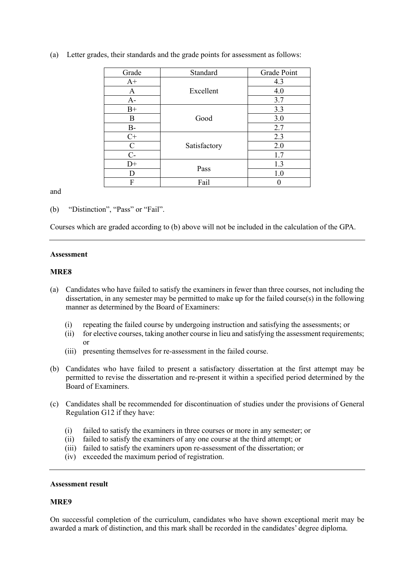| Grade       | Standard     | Grade Point |
|-------------|--------------|-------------|
| $A+$        | Excellent    | 4.3         |
| A           |              | 4.0         |
| $A-$        |              | 3.7         |
| $B+$        | Good         | 3.3         |
| Β           |              | 3.0         |
| $B-$        |              | 2.7         |
| $C+$        | Satisfactory | 2.3         |
| $\mathbf C$ |              | 2.0         |
| $C-$        |              | 1.7         |
| $D+$        | Pass         | 1.3         |
| D           |              | 1.0         |
| F           | Fail         |             |

(a) Letter grades, their standards and the grade points for assessment as follows:

and

(b) "Distinction", "Pass" or "Fail".

Courses which are graded according to (b) above will not be included in the calculation of the GPA.

### **Assessment**

### **MRE8**

- (a) Candidates who have failed to satisfy the examiners in fewer than three courses, not including the manner as determined by the Board of Examiners: dissertation, in any semester may be permitted to make up for the failed course(s) in the following
	- (i) repeating the failed course by undergoing instruction and satisfying the assessments; or
	- (ii) for elective courses, taking another course in lieu and satisfying the assessment requirements; or
	- (iii) presenting themselves for re-assessment in the failed course.
- (b) Candidates who have failed to present a satisfactory dissertation at the first attempt may be permitted to revise the dissertation and re-present it within a specified period determined by the Board of Examiners.
- (c) Candidates shall be recommended for discontinuation of studies under the provisions of General Regulation G12 if they have:
	- (i) failed to satisfy the examiners in three courses or more in any semester; or
	- (ii) failed to satisfy the examiners of any one course at the third attempt; or
	- (iii) failed to satisfy the examiners upon re-assessment of the dissertation; or
	- (iv) exceeded the maximum period of registration.

### **Assessment result**

### **MRE9**

 On successful completion of the curriculum, candidates who have shown exceptional merit may be awarded a mark of distinction, and this mark shall be recorded in the candidates' degree diploma.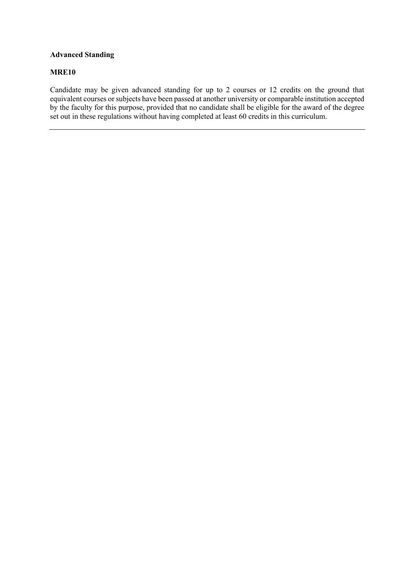## **Advanced Standing**

### **MRE10**

 Candidate may be given advanced standing for up to 2 courses or 12 credits on the ground that  $\overline{a}$  set out in these regulations without having completed at least 60 credits in this curriculum. equivalent courses or subjects have been passed at another university or comparable institution accepted by the faculty for this purpose, provided that no candidate shall be eligible for the award of the degree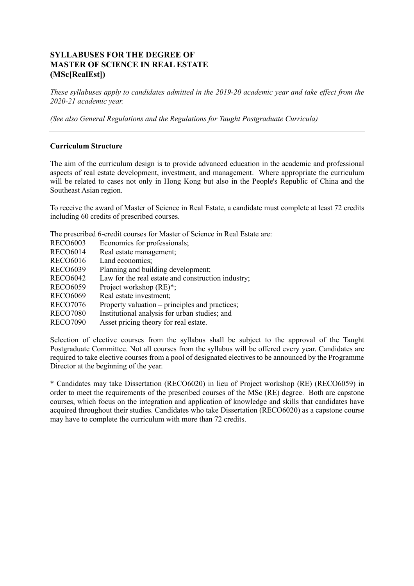# **SYLLABUSES FOR THE DEGREE OF MASTER OF SCIENCE IN REAL ESTATE (MSc[RealEst])**

 *These syllabuses apply to candidates admitted in the 2019-20 academic year and take effect from the 2020-21 academic year.* 

*(See also General Regulations and the Regulations for Taught Postgraduate Curricula)* 

# **Curriculum Structure**

 The aim of the curriculum design is to provide advanced education in the academic and professional aspects of real estate development, investment, and management. Where appropriate the curriculum will be related to cases not only in Hong Kong but also in the People's Republic of China and the Southeast Asian region.

Southeast Asian region.<br>To receive the award of Master of Science in Real Estate, a candidate must complete at least 72 credits including 60 credits of prescribed courses.

The prescribed 6-credit courses for Master of Science in Real Estate are:

| <b>RECO6003</b> | Economics for professionals;                       |
|-----------------|----------------------------------------------------|
| <b>RECO6014</b> | Real estate management;                            |
| <b>RECO6016</b> | Land economics;                                    |
| <b>RECO6039</b> | Planning and building development;                 |
| <b>RECO6042</b> | Law for the real estate and construction industry; |
| <b>RECO6059</b> | Project workshop (RE)*;                            |
| <b>RECO6069</b> | Real estate investment;                            |
| <b>RECO7076</b> | Property valuation – principles and practices;     |
| <b>RECO7080</b> | Institutional analysis for urban studies; and      |
|                 |                                                    |

RECO7090 Asset pricing theory for real estate.

 Selection of elective courses from the syllabus shall be subject to the approval of the Taught Postgraduate Committee. Not all courses from the syllabus will be offered every year. Candidates are required to take elective courses from a pool of designated electives to be announced by the Programme Director at the beginning of the year.

 \* Candidates may take Dissertation (RECO6020) in lieu of Project workshop (RE) (RECO6059) in order to meet the requirements of the prescribed courses of the MSc (RE) degree. Both are capstone courses, which focus on the integration and application of knowledge and skills that candidates have acquired throughout their studies. Candidates who take Dissertation (RECO6020) as a capstone course may have to complete the curriculum with more than 72 credits.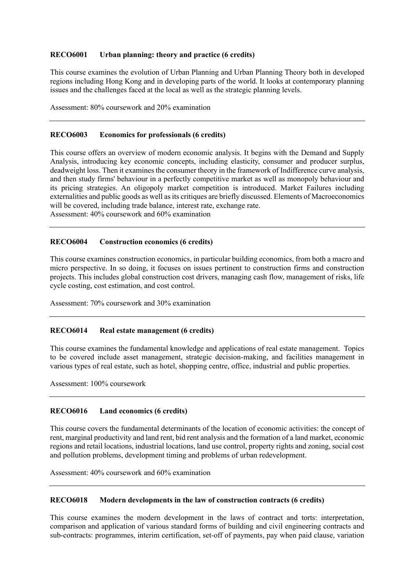#### **RECO6001** Urban planning: theory and practice (6 credits)

 regions including Hong Kong and in developing parts of the world. It looks at contemporary planning This course examines the evolution of Urban Planning and Urban Planning Theory both in developed issues and the challenges faced at the local as well as the strategic planning levels.

Assessment: 80% coursework and 20% examination

#### **RECO6003** Economics for professionals (6 credits)

 This course offers an overview of modern economic analysis. It begins with the Demand and Supply Analysis, introducing key economic concepts, including elasticity, consumer and producer surplus, deadweight loss. Then it examines the consumer theory in the framework of Indifference curve analysis, and then study firms' behaviour in a perfectly competitive market as well as monopoly behaviour and externalities and public goods as well as its critiques are briefly discussed. Elements of Macroeconomics will be covered, including trade balance, interest rate, exchange rate. its pricing strategies. An oligopoly market competition is introduced. Market Failures including Assessment: 40% coursework and 60% examination

#### **RECO6004 Construction economics (6 credits)**

 This course examines construction economics, in particular building economics, from both a macro and micro perspective. In so doing, it focuses on issues pertinent to construction firms and construction projects. This includes global construction cost drivers, managing cash flow, management of risks, life cycle costing, cost estimation, and cost control.

Assessment: 70% coursework and 30% examination

#### **RECO6014** Real estate management (6 credits)

 This course examines the fundamental knowledge and applications of real estate management. Topics to be covered include asset management, strategic decision-making, and facilities management in various types of real estate, such as hotel, shopping centre, office, industrial and public properties.

Assessment: 100% coursework

#### Land economics (6 credits)

 This course covers the fundamental determinants of the location of economic activities: the concept of rent, marginal productivity and land rent, bid rent analysis and the formation of a land market, economic regions and retail locations, industrial locations, land use control, property rights and zoning, social cost and pollution problems, development timing and problems of urban redevelopment.

Assessment: 40% coursework and 60% examination

#### **Modern developments in the law of construction contracts (6 credits)**

 comparison and application of various standard forms of building and civil engineering contracts and sub-contracts: programmes, interim certification, set-off of payments, pay when paid clause, variation This course examines the modern development in the laws of contract and torts: interpretation,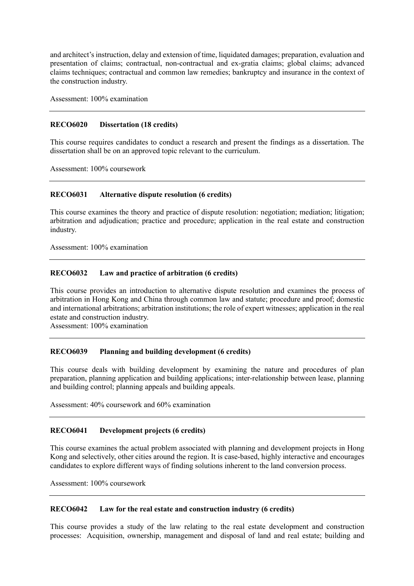and architect's instruction, delay and extension of time, liquidated damages; preparation, evaluation and presentation of claims; contractual, non-contractual and ex-gratia claims; global claims; advanced claims techniques; contractual and common law remedies; bankruptcy and insurance in the context of the construction industry.

Assessment: 100% examination

#### **RECO6020 Dissertation (18 credits)**

 This course requires candidates to conduct a research and present the findings as a dissertation. The dissertation shall be on an approved topic relevant to the curriculum.

Assessment: 100% coursework

#### **RECO6031** Alternative dispute resolution (6 credits)

 This course examines the theory and practice of dispute resolution: negotiation; mediation; litigation; arbitration and adjudication; practice and procedure; application in the real estate and construction industry.

Assessment: 100% examination

#### **RECO6032** Law and practice of arbitration (6 credits)

 This course provides an introduction to alternative dispute resolution and examines the process of arbitration in Hong Kong and China through common law and statute; procedure and proof; domestic and international arbitrations; arbitration institutions; the role of expert witnesses; application in the real estate and construction industry.

Assessment: 100% examination

#### **RECO6039** Planning and building development (6 credits)

 This course deals with building development by examining the nature and procedures of plan preparation, planning application and building applications; inter-relationship between lease, planning and building control; planning appeals and building appeals.

Assessment: 40% coursework and 60% examination

#### **RECO6041 Development projects (6 credits)**

 This course examines the actual problem associated with planning and development projects in Hong Kong and selectively, other cities around the region. It is case-based, highly interactive and encourages candidates to explore different ways of finding solutions inherent to the land conversion process.

Assessment: 100% coursework

#### **RECO6042** Law for the real estate and construction industry (6 credits)

 This course provides a study of the law relating to the real estate development and construction processes: Acquisition, ownership, management and disposal of land and real estate; building and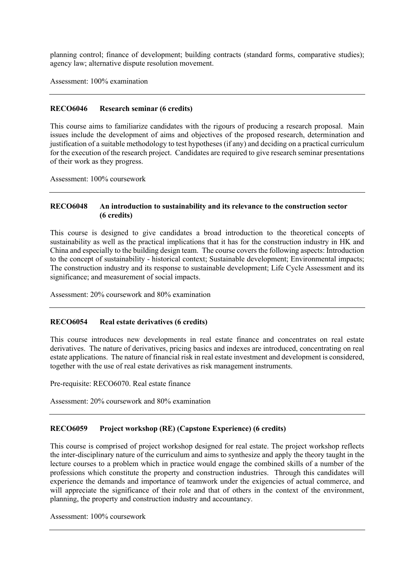planning control; finance of development; building contracts (standard forms, comparative studies); agency law; alternative dispute resolution movement.

Assessment: 100% examination

#### **Research seminar (6 credits)**

 This course aims to familiarize candidates with the rigours of producing a research proposal. Main issues include the development of aims and objectives of the proposed research, determination and justification of a suitable methodology to test hypotheses (if any) and deciding on a practical curriculum for the execution of the research project. Candidates are required to give research seminar presentations of their work as they progress.

Assessment: 100% coursework

### **RECO6048** An introduction to sustainability and its relevance to the construction sector **(6 credits)**

 This course is designed to give candidates a broad introduction to the theoretical concepts of sustainability as well as the practical implications that it has for the construction industry in HK and China and especially to the building design team. The course covers the following aspects: Introduction to the concept of sustainability - historical context; Sustainable development; Environmental impacts; The construction industry and its response to sustainable development; Life Cycle Assessment and its significance; and measurement of social impacts.

Assessment: 20% coursework and 80% examination

#### **RECO6054** Real estate derivatives (6 credits)

 This course introduces new developments in real estate finance and concentrates on real estate derivatives. The nature of derivatives, pricing basics and indexes are introduced, concentrating on real estate applications. The nature of financial risk in real estate investment and development is considered, together with the use of real estate derivatives as risk management instruments.

Pre-requisite: RECO6070. Real estate finance

Assessment: 20% coursework and 80% examination

#### **RECO6059 Project workshop (RE) (Capstone Experience) (6 credits)**

 This course is comprised of project workshop designed for real estate. The project workshop reflects the inter-disciplinary nature of the curriculum and aims to synthesize and apply the theory taught in the lecture courses to a problem which in practice would engage the combined skills of a number of the professions which constitute the property and construction industries. Through this candidates will experience the demands and importance of teamwork under the exigencies of actual commerce, and will appreciate the significance of their role and that of others in the context of the environment, planning, the property and construction industry and accountancy.

Assessment: 100% coursework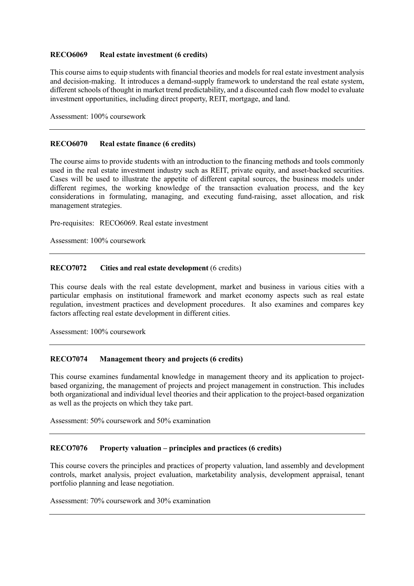#### **RECO6069 Real estate investment (6 credits)**

 This course aims to equip students with financial theories and models for real estate investment analysis and decision-making. It introduces a demand-supply framework to understand the real estate system, different schools of thought in market trend predictability, and a discounted cash flow model to evaluate investment opportunities, including direct property, REIT, mortgage, and land. Assessment: 100% coursework

#### **RECO6070 Real estate finance (6 credits)**

 The course aims to provide students with an introduction to the financing methods and tools commonly used in the real estate investment industry such as REIT, private equity, and asset-backed securities. Cases will be used to illustrate the appetite of different capital sources, the business models under different regimes, the working knowledge of the transaction evaluation process, and the key considerations in formulating, managing, and executing fund-raising, asset allocation, and risk management strategies.

management strategies.<br>Pre-requisites: RECO6069. Real estate investment

Assessment: 100% coursework

### **RECO7072 Cities and real estate development** (6 credits)

 This course deals with the real estate development, market and business in various cities with a particular emphasis on institutional framework and market economy aspects such as real estate regulation, investment practices and development procedures. It also examines and compares key factors affecting real estate development in different cities.

Assessment: 100% coursework

### **RECO7074 Management theory and projects (6 credits)**

 This course examines fundamental knowledge in management theory and its application to project- based organizing, the management of projects and project management in construction. This includes both organizational and individual level theories and their application to the project-based organization as well as the projects on which they take part.

Assessment: 50% coursework and 50% examination

#### **RECO7076** Property valuation – principles and practices (6 credits)

 This course covers the principles and practices of property valuation, land assembly and development controls, market analysis, project evaluation, marketability analysis, development appraisal, tenant portfolio planning and lease negotiation.

Assessment: 70% coursework and 30% examination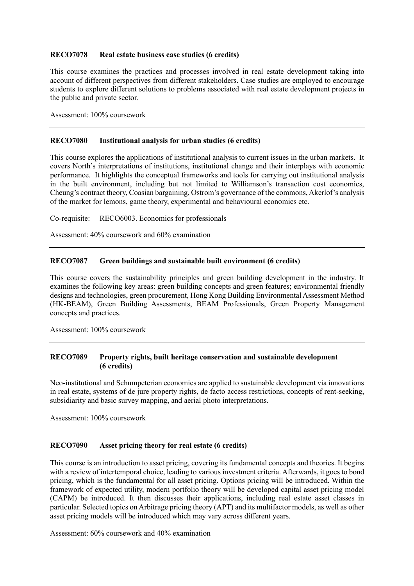#### Real estate business case studies (6 credits)

 account of different perspectives from different stakeholders. Case studies are employed to encourage students to explore different solutions to problems associated with real estate development projects in This course examines the practices and processes involved in real estate development taking into the public and private sector.

Assessment: 100% coursework

#### **RECO7080 Institutional analysis for urban studies (6 credits)**

 This course explores the applications of institutional analysis to current issues in the urban markets. It covers North's interpretations of institutions, institutional change and their interplays with economic performance. It highlights the conceptual frameworks and tools for carrying out institutional analysis in the built environment, including but not limited to Williamson's transaction cost economics, Cheung's contract theory, Coasian bargaining, Ostrom's governance of the commons, Akerlof's analysis of the market for lemons, game theory, experimental and behavioural economics etc.

Co-requisite: RECO6003. Economics for professionals

Assessment: 40% coursework and 60% examination

#### **RECO7087** Green buildings and sustainable built environment (6 credits)

 This course covers the sustainability principles and green building development in the industry. It designs and technologies, green procurement, Hong Kong Building Environmental Assessment Method (HK-BEAM), Green Building Assessments, BEAM Professionals, Green Property Management examines the following key areas: green building concepts and green features; environmental friendly concepts and practices.

Assessment: 100% coursework

### **RECO7089** Property rights, built heritage conservation and sustainable development **(6 credits)**

 Neo-institutional and Schumpeterian economics are applied to sustainable development via innovations in real estate, systems of de jure property rights, de facto access restrictions, concepts of rent-seeking, subsidiarity and basic survey mapping, and aerial photo interpretations.

Assessment: 100% coursework

#### **RECO7090** Asset pricing theory for real estate (6 credits)

 This course is an introduction to asset pricing, covering its fundamental concepts and theories. It begins with a review of intertemporal choice, leading to various investment criteria. Afterwards, it goes to bond pricing, which is the fundamental for all asset pricing. Options pricing will be introduced. Within the framework of expected utility, modern portfolio theory will be developed capital asset pricing model (CAPM) be introduced. It then discusses their applications, including real estate asset classes in particular. Selected topics on Arbitrage pricing theory (APT) and its multifactor models, as well as other asset pricing models will be introduced which may vary across different years.

Assessment: 60% coursework and 40% examination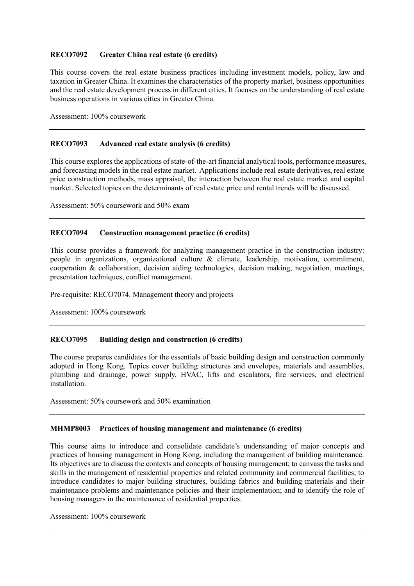#### **RECO7092 Greater China real estate (6 credits)**

 This course covers the real estate business practices including investment models, policy, law and taxation in Greater China. It examines the characteristics of the property market, business opportunities and the real estate development process in different cities. It focuses on the understanding of real estate business operations in various cities in Greater China.

Assessment: 100% coursework

#### **RECO7093** Advanced real estate analysis (6 credits)

 This course explores the applications of state-of-the-art financial analytical tools, performance measures, and forecasting models in the real estate market. Applications include real estate derivatives, real estate price construction methods, mass appraisal, the interaction between the real estate market and capital market. Selected topics on the determinants of real estate price and rental trends will be discussed.

Assessment: 50% coursework and 50% exam

#### **RECO7094 Construction management practice (6 credits)**

 This course provides a framework for analyzing management practice in the construction industry: people in organizations, organizational culture & climate, leadership, motivation, commitment, cooperation & collaboration, decision aiding technologies, decision making, negotiation, meetings, presentation techniques, conflict management.

Pre-requisite: RECO7074. Management theory and projects

Assessment: 100% coursework

#### **RECO7095** Building design and construction (6 credits)

 The course prepares candidates for the essentials of basic building design and construction commonly adopted in Hong Kong. Topics cover building structures and envelopes, materials and assemblies, plumbing and drainage, power supply, HVAC, lifts and escalators, fire services, and electrical installation.

Assessment: 50% coursework and 50% examination

### **MHMP8003 Practices of housing management and maintenance (6 credits)**

 This course aims to introduce and consolidate candidate's understanding of major concepts and practices of housing management in Hong Kong, including the management of building maintenance. Its objectives are to discuss the contexts and concepts of housing management; to canvass the tasks and skills in the management of residential properties and related community and commercial facilities; to introduce candidates to major building structures, building fabrics and building materials and their maintenance problems and maintenance policies and their implementation; and to identify the role of housing managers in the maintenance of residential properties.

Assessment: 100% coursework